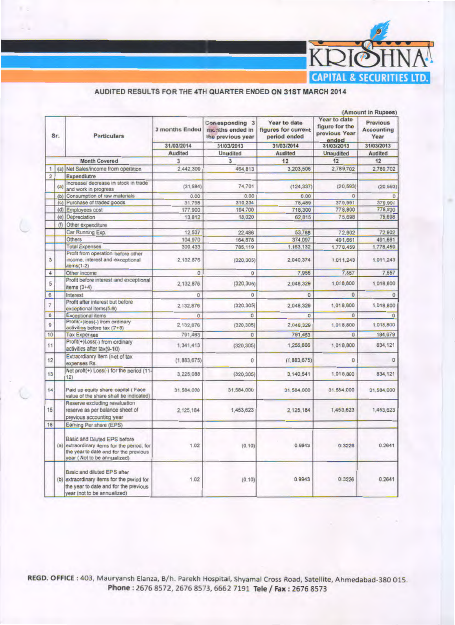

## AUDITED RESULTS FOR THE 4TH QUARTER ENDED ON 31ST MARCH 2014

|                |                     |                                                                                                                                                     |                                         |                                                                                               | (Amount in Rupees)                                  |                                                          |                                                                      |  |  |
|----------------|---------------------|-----------------------------------------------------------------------------------------------------------------------------------------------------|-----------------------------------------|-----------------------------------------------------------------------------------------------|-----------------------------------------------------|----------------------------------------------------------|----------------------------------------------------------------------|--|--|
|                | Sr.                 | <b>Particulars</b>                                                                                                                                  | 3 months Ended<br>31/03/2014<br>Audited | Conesponding 3<br>mc.nths ended in<br>the previous year<br>31/03/2013<br><b>Unudited</b><br>3 | Year to date<br>figures for current<br>period ended | Year to date<br>figure for the<br>previous Year<br>ended | Previous<br><b>Accounting</b><br>Year<br>31/03/2013<br>Audited<br>12 |  |  |
|                |                     |                                                                                                                                                     |                                         |                                                                                               | 31/03/2014                                          | 31/03/2013                                               |                                                                      |  |  |
|                |                     |                                                                                                                                                     |                                         |                                                                                               | <b>Audited</b>                                      | <b>Unaudited</b><br>12                                   |                                                                      |  |  |
|                |                     | <b>Month Covered</b>                                                                                                                                | 3                                       |                                                                                               | 12                                                  |                                                          |                                                                      |  |  |
| 1              |                     | (a) Net Sales/income from operation                                                                                                                 | 2.442.309                               | 464,813                                                                                       | 3,203,506                                           | 2.789,702                                                | 2,789,702                                                            |  |  |
| $\overline{2}$ |                     | Expendiutre                                                                                                                                         |                                         |                                                                                               |                                                     |                                                          |                                                                      |  |  |
|                | (a)                 | Increase/ decrease in stock in trade<br>and work in progress                                                                                        | (31, 584)                               | 74,701                                                                                        | (124, 337)                                          | (20, 593)                                                | (20, 593)                                                            |  |  |
|                | $\langle b \rangle$ | Consumption of raw materials                                                                                                                        | 0.00                                    | 0.00                                                                                          | 0.00                                                | $\Omega$                                                 | $^{\circ}$                                                           |  |  |
|                | (c)                 | Purchase of traded goods                                                                                                                            | 31,798                                  | 310,334                                                                                       | 78,489                                              | 379,991                                                  | 379,991                                                              |  |  |
|                | (d)                 | Employees cost                                                                                                                                      | 177,900                                 | 194,700                                                                                       | 718,300                                             | 778,800                                                  | 778,800                                                              |  |  |
|                | (e)                 | Depreciation                                                                                                                                        | 13,812                                  | 18,020                                                                                        | 62,815                                              | 75,698                                                   | 75,698                                                               |  |  |
|                | (f)                 | Other expenditure                                                                                                                                   |                                         |                                                                                               |                                                     |                                                          |                                                                      |  |  |
|                |                     | Car Running Exp.                                                                                                                                    | 12,537                                  | 22.486                                                                                        | 53,768                                              | 72,902                                                   | 72,902                                                               |  |  |
|                |                     | <b>Others</b>                                                                                                                                       | 104,970                                 | 164,878                                                                                       | 374,097                                             | 491,661                                                  | 491,661                                                              |  |  |
|                |                     | <b>Total Expenses</b>                                                                                                                               | 309,433                                 | 785,119                                                                                       | 1,163,132                                           | 1,778,459                                                | 1,778,459                                                            |  |  |
| 3              |                     | Profit from operation before other<br>income, interest and exceptional<br>$items(1-2)$                                                              | 2,132,876                               | (320, 305)                                                                                    | 2.040.374                                           | 1,011,243                                                | 1,011,243                                                            |  |  |
| 4              |                     | Other income                                                                                                                                        | $\Omega$                                | $\circ$                                                                                       | 7,955                                               | 7,557                                                    | 7,557                                                                |  |  |
| 5              |                     | Profit before interest and exceptional<br>items $(3+4)$                                                                                             | 2,132,876                               | (320, 305)                                                                                    | 2,048,329                                           | 1,018,800                                                | 1,018,800                                                            |  |  |
| 6              |                     | Interest                                                                                                                                            | $\theta$                                | $\overline{0}$                                                                                | $\Omega$                                            | $\circ$                                                  | $\Omega$                                                             |  |  |
| $\overline{7}$ |                     | Profit after interest but before<br>exceptional items(5-6)                                                                                          | 2,132,876                               | (320, 305)                                                                                    | 2,048,329                                           | 1,018,800                                                | 1,018,800                                                            |  |  |
| 8              |                     | Exceptional items                                                                                                                                   | $\theta$                                | $\Omega$                                                                                      | $\sigma$                                            | $\Omega$                                                 | $\Omega$                                                             |  |  |
| 9              |                     | Profit(+)loss(-) from ordinary<br>activities before tax (7+8)                                                                                       | 2,132,876                               | (320, 305)                                                                                    | 2,048,329                                           | 1,018,800                                                | 1,018,800                                                            |  |  |
| 10             |                     | <b>Tax Expenses</b>                                                                                                                                 | 791,463                                 | $\Omega$                                                                                      | 791,463                                             | $\Omega$                                                 | 184,679                                                              |  |  |
| 11             |                     | Profit(+)Loss(-) from ordinary<br>activities after tax(9-10)                                                                                        | 1,341,413                               | (320, 305)                                                                                    | 1,256,866                                           | 1,018,800                                                | 834,121                                                              |  |  |
| 12             |                     | Extraordianry item (net of tax<br>expenses Rs.                                                                                                      | (1,883,675)                             | Ō                                                                                             | (1,883,675)                                         | 0                                                        | O                                                                    |  |  |
| 13             |                     | Net proft(+) Loss(-) for the period (11-<br>12)                                                                                                     | 3,225,088                               | (320, 305)                                                                                    | 3,140,541                                           | 1,018,800                                                | 834,121                                                              |  |  |
| 14             |                     | Paid up equity share capital (Face<br>value of the share shall be indicated)                                                                        | 31,584,000                              | 31,584,000                                                                                    | 31,584,000                                          | 31,584,000                                               | 31,584,000                                                           |  |  |
| 15             |                     | Reserve excluding revaluation<br>reserve as per balance sheet of<br>previous accounting year                                                        | 2,125,184                               | 1,453,623                                                                                     | 2,125,184                                           | 1,453,623                                                | 1,453,623                                                            |  |  |
| 16             |                     | Earning Per share (EPS)                                                                                                                             |                                         |                                                                                               |                                                     |                                                          |                                                                      |  |  |
|                |                     | Basic and Diluted EPS before<br>(a) extraordinary items for the period, for<br>the year to date and for the previous<br>year (Not to be annualized) | 1.02                                    | (0.10)                                                                                        | 0.9943                                              | 0.3226                                                   | 0.2641                                                               |  |  |
|                |                     | Basic and diluted EPS after<br>(b) extraordinary items for the period for<br>the year to date and for the previous<br>year (not to be annualized)   | 1.02                                    | (0.10)                                                                                        | 0.9943                                              | 0.3226                                                   | 0.2641                                                               |  |  |

REGD. OFFICE: 403, Mauryansh Elanza, B/h. Parekh Hospital, Shyamal Cross Road, Satellite, Ahmedabad-380 015. Phone: 2676 8572, 2676 8573, 6662 7191 Tele / Fax: 2676 8573